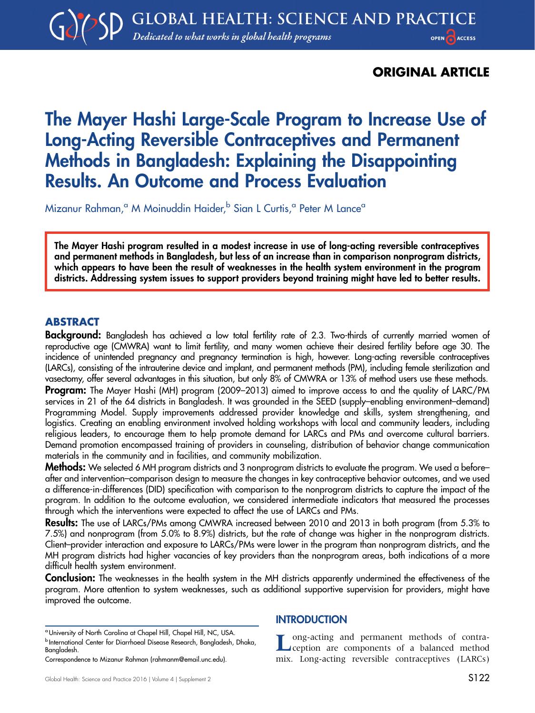# ORIGINAL ARTICLE

# The Mayer Hashi Large-Scale Program to Increase Use of Long-Acting Reversible Contraceptives and Permanent Methods in Bangladesh: Explaining the Disappointing Results. An Outcome and Process Evaluation

Mizanur Rahman,<sup>a</sup> M Moinuddin Haider,<sup>b</sup> Sian L Curtis,<sup>a</sup> Peter M Lance<sup>a</sup>

The Mayer Hashi program resulted in a modest increase in use of long-acting reversible contraceptives and permanent methods in Bangladesh, but less of an increase than in comparison nonprogram districts, which appears to have been the result of weaknesses in the health system environment in the program districts. Addressing system issues to support providers beyond training might have led to better results.

## ABSTRACT

Background: Bangladesh has achieved a low total fertility rate of 2.3. Two-thirds of currently married women of reproductive age (CMWRA) want to limit fertility, and many women achieve their desired fertility before age 30. The incidence of unintended pregnancy and pregnancy termination is high, however. Long-acting reversible contraceptives (LARCs), consisting of the intrauterine device and implant, and permanent methods (PM), including female sterilization and vasectomy, offer several advantages in this situation, but only 8% of CMWRA or 13% of method users use these methods. **Program:** The Mayer Hashi (MH) program (2009–2013) aimed to improve access to and the quality of LARC/PM services in 21 of the 64 districts in Bangladesh. It was grounded in the SEED (supply–enabling environment–demand) Programming Model. Supply improvements addressed provider knowledge and skills, system strengthening, and logistics. Creating an enabling environment involved holding workshops with local and community leaders, including religious leaders, to encourage them to help promote demand for LARCs and PMs and overcome cultural barriers. Demand promotion encompassed training of providers in counseling, distribution of behavior change communication materials in the community and in facilities, and community mobilization.

Methods: We selected 6 MH program districts and 3 nonprogram districts to evaluate the program. We used a before– after and intervention–comparison design to measure the changes in key contraceptive behavior outcomes, and we used a difference-in-differences (DID) specification with comparison to the nonprogram districts to capture the impact of the program. In addition to the outcome evaluation, we considered intermediate indicators that measured the processes through which the interventions were expected to affect the use of LARCs and PMs.

Results: The use of LARCs/PMs among CMWRA increased between 2010 and 2013 in both program (from 5.3% to 7.5%) and nonprogram (from 5.0% to 8.9%) districts, but the rate of change was higher in the nonprogram districts. Client–provider interaction and exposure to LARCs/PMs were lower in the program than nonprogram districts, and the MH program districts had higher vacancies of key providers than the nonprogram areas, both indications of a more difficult health system environment.

Conclusion: The weaknesses in the health system in the MH districts apparently undermined the effectiveness of the program. More attention to system weaknesses, such as additional supportive supervision for providers, might have improved the outcome.

# **INTRODUCTION**

Long-acting and permanent methods of contra-ception are components of a balanced method mix. Long-acting reversible contraceptives (LARCs)

aUniversity of North Carolina at Chapel Hill, Chapel Hill, NC, USA. <sup>b</sup> International Center for Diarrhoeal Disease Research, Bangladesh, Dhaka, Bangladesh.

Correspondence to Mizanur Rahman ([rahmanm@email.unc.edu\)](mailto:rahmanm@email.unc.edu).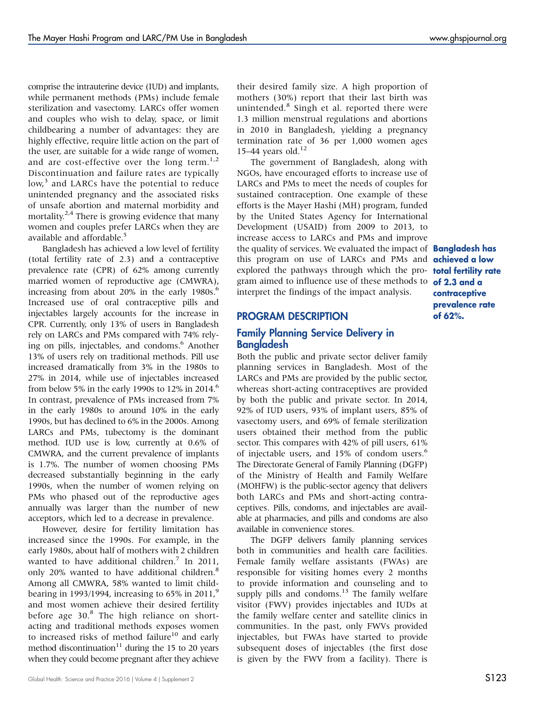comprise the intrauterine device (IUD) and implants, while permanent methods (PMs) include female sterilization and vasectomy. LARCs offer women and couples who wish to delay, space, or limit childbearing a number of advantages: they are highly effective, require little action on the part of the user, are suitable for a wide range of women, and are cost-effective over the long term.<sup>1,2</sup> Discontinuation and failure rates are typically low,<sup>3</sup> and LARCs have the potential to reduce unintended pregnancy and the associated risks of unsafe abortion and maternal morbidity and mortality.<sup>2,4</sup> There is growing evidence that many women and couples prefer LARCs when they are available and affordable.<sup>5</sup>

Bangladesh has achieved a low level of fertility (total fertility rate of 2.3) and a contraceptive prevalence rate (CPR) of 62% among currently married women of reproductive age (CMWRA), increasing from about 20% in the early  $1980s$ .<sup>6</sup> Increased use of oral contraceptive pills and injectables largely accounts for the increase in CPR. Currently, only 13% of users in Bangladesh rely on LARCs and PMs compared with 74% relying on pills, injectables, and condoms.<sup>6</sup> Another 13% of users rely on traditional methods. Pill use increased dramatically from 3% in the 1980s to 27% in 2014, while use of injectables increased from below 5% in the early 1990s to 12% in 2014.<sup>6</sup> In contrast, prevalence of PMs increased from 7% in the early 1980s to around 10% in the early 1990s, but has declined to 6% in the 2000s. Among LARCs and PMs, tubectomy is the dominant method. IUD use is low, currently at 0.6% of CMWRA, and the current prevalence of implants is 1.7%. The number of women choosing PMs decreased substantially beginning in the early 1990s, when the number of women relying on PMs who phased out of the reproductive ages annually was larger than the number of new acceptors, which led to a decrease in prevalence.

However, desire for fertility limitation has increased since the 1990s. For example, in the early 1980s, about half of mothers with 2 children wanted to have additional children.<sup>7</sup> In 2011, only 20% wanted to have additional children.<sup>8</sup> Among all CMWRA, 58% wanted to limit childbearing in 1993/1994, increasing to 65% in 2011,<sup>9</sup> and most women achieve their desired fertility before age  $30<sup>8</sup>$ . The high reliance on shortacting and traditional methods exposes women to increased risks of method failure $10$  and early method discontinuation $11$  during the 15 to 20 years when they could become pregnant after they achieve

their desired family size. A high proportion of mothers (30%) report that their last birth was unintended.<sup>8</sup> Singh et al. reported there were 1.3 million menstrual regulations and abortions in 2010 in Bangladesh, yielding a pregnancy termination rate of 36 per 1,000 women ages 15-44 years old.<sup>12</sup>

The government of Bangladesh, along with NGOs, have encouraged efforts to increase use of LARCs and PMs to meet the needs of couples for sustained contraception. One example of these efforts is the Mayer Hashi (MH) program, funded by the United States Agency for International Development (USAID) from 2009 to 2013, to increase access to LARCs and PMs and improve the quality of services. We evaluated the impact of **Bangladesh has** this program on use of LARCs and PMs and **achieved a low** explored the pathways through which the pro- **total fertility rate** gram aimed to influence use of these methods to **of 2.3 and a** interpret the findings of the impact analysis.

PROGRAM DESCRIPTION

## Family Planning Service Delivery in Bangladesh

Both the public and private sector deliver family planning services in Bangladesh. Most of the LARCs and PMs are provided by the public sector, whereas short-acting contraceptives are provided by both the public and private sector. In 2014, 92% of IUD users, 93% of implant users, 85% of vasectomy users, and 69% of female sterilization users obtained their method from the public sector. This compares with 42% of pill users, 61% of injectable users, and 15% of condom users.<sup>6</sup> The Directorate General of Family Planning (DGFP) of the Ministry of Health and Family Welfare (MOHFW) is the public-sector agency that delivers both LARCs and PMs and short-acting contraceptives. Pills, condoms, and injectables are available at pharmacies, and pills and condoms are also available in convenience stores.

The DGFP delivers family planning services both in communities and health care facilities. Female family welfare assistants (FWAs) are responsible for visiting homes every 2 months to provide information and counseling and to supply pills and condoms.<sup>13</sup> The family welfare visitor (FWV) provides injectables and IUDs at the family welfare center and satellite clinics in communities. In the past, only FWVs provided injectables, but FWAs have started to provide subsequent doses of injectables (the first dose is given by the FWV from a facility). There is

contraceptive prevalence rate of 62%.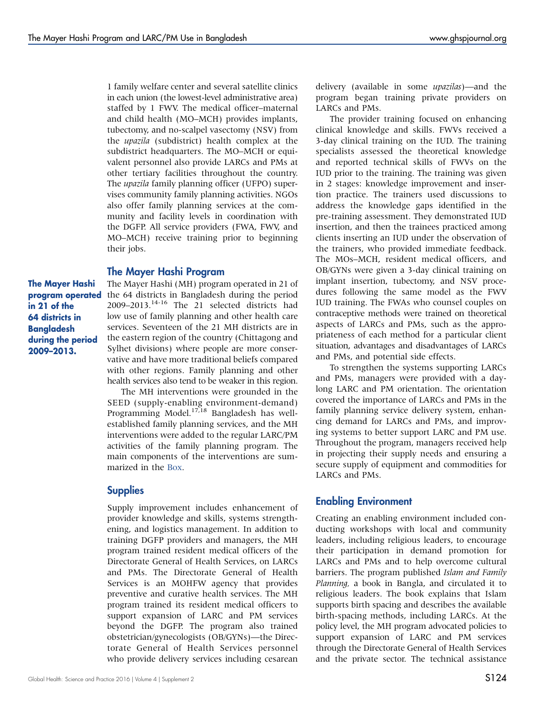1 family welfare center and several satellite clinics in each union (the lowest-level administrative area) staffed by 1 FWV. The medical officer–maternal and child health (MO–MCH) provides implants, tubectomy, and no-scalpel vasectomy (NSV) from the upazila (subdistrict) health complex at the subdistrict headquarters. The MO–MCH or equivalent personnel also provide LARCs and PMs at other tertiary facilities throughout the country. The *upazila* family planning officer (UFPO) supervises community family planning activities. NGOs also offer family planning services at the community and facility levels in coordination with the DGFP. All service providers (FWA, FWV, and MO–MCH) receive training prior to beginning their jobs.

## The Mayer Hashi Program

The Mayer Hashi program operated in 21 of the 64 districts in Bangladesh during the period 2009–2013.

The Mayer Hashi (MH) program operated in 21 of the 64 districts in Bangladesh during the period 2009–2013.14-16 The 21 selected districts had low use of family planning and other health care services. Seventeen of the 21 MH districts are in the eastern region of the country (Chittagong and Sylhet divisions) where people are more conservative and have more traditional beliefs compared with other regions. Family planning and other health services also tend to be weaker in this region.

The MH interventions were grounded in the SEED (supply-enabling environment-demand) Programming Model.<sup>17,18</sup> Bangladesh has wellestablished family planning services, and the MH interventions were added to the regular LARC/PM activities of the family planning program. The main components of the interventions are summarized in the Box.

## **Supplies**

Supply improvement includes enhancement of provider knowledge and skills, systems strengthening, and logistics management. In addition to training DGFP providers and managers, the MH program trained resident medical officers of the Directorate General of Health Services, on LARCs and PMs. The Directorate General of Health Services is an MOHFW agency that provides preventive and curative health services. The MH program trained its resident medical officers to support expansion of LARC and PM services beyond the DGFP. The program also trained obstetrician/gynecologists (OB/GYNs)—the Directorate General of Health Services personnel who provide delivery services including cesarean delivery (available in some upazilas)—and the program began training private providers on LARCs and PMs.

The provider training focused on enhancing clinical knowledge and skills. FWVs received a 3-day clinical training on the IUD. The training specialists assessed the theoretical knowledge and reported technical skills of FWVs on the IUD prior to the training. The training was given in 2 stages: knowledge improvement and insertion practice. The trainers used discussions to address the knowledge gaps identified in the pre-training assessment. They demonstrated IUD insertion, and then the trainees practiced among clients inserting an IUD under the observation of the trainers, who provided immediate feedback. The MOs–MCH, resident medical officers, and OB/GYNs were given a 3-day clinical training on implant insertion, tubectomy, and NSV procedures following the same model as the FWV IUD training. The FWAs who counsel couples on contraceptive methods were trained on theoretical aspects of LARCs and PMs, such as the appropriateness of each method for a particular client situation, advantages and disadvantages of LARCs and PMs, and potential side effects.

To strengthen the systems supporting LARCs and PMs, managers were provided with a daylong LARC and PM orientation. The orientation covered the importance of LARCs and PMs in the family planning service delivery system, enhancing demand for LARCs and PMs, and improving systems to better support LARC and PM use. Throughout the program, managers received help in projecting their supply needs and ensuring a secure supply of equipment and commodities for LARCs and PMs.

# Enabling Environment

Creating an enabling environment included conducting workshops with local and community leaders, including religious leaders, to encourage their participation in demand promotion for LARCs and PMs and to help overcome cultural barriers. The program published Islam and Family Planning, a book in Bangla, and circulated it to religious leaders. The book explains that Islam supports birth spacing and describes the available birth-spacing methods, including LARCs. At the policy level, the MH program advocated policies to support expansion of LARC and PM services through the Directorate General of Health Services and the private sector. The technical assistance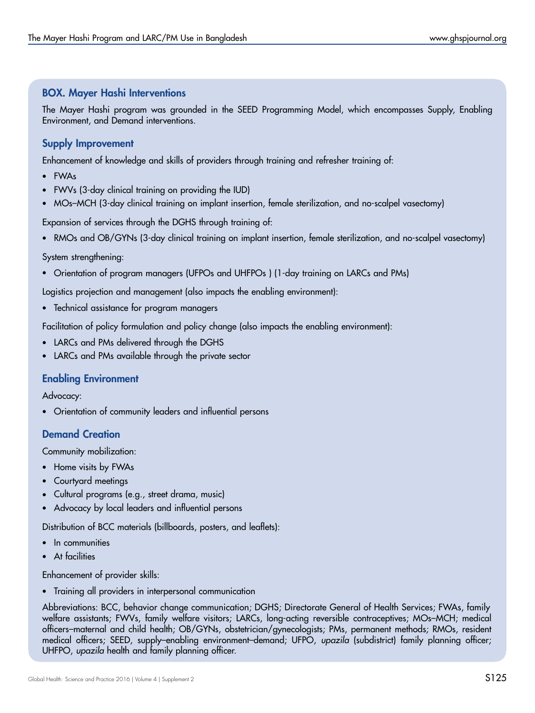# BOX. Mayer Hashi Interventions

The Mayer Hashi program was grounded in the SEED Programming Model, which encompasses Supply, Enabling Environment, and Demand interventions.

## Supply Improvement

Enhancement of knowledge and skills of providers through training and refresher training of:

- FWAs
- FWVs (3-day clinical training on providing the IUD)
- MOs–MCH (3-day clinical training on implant insertion, female sterilization, and no-scalpel vasectomy)

Expansion of services through the DGHS through training of:

RMOs and OB/GYNs (3-day clinical training on implant insertion, female sterilization, and no-scalpel vasectomy)

System strengthening:

Orientation of program managers (UFPOs and UHFPOs ) (1-day training on LARCs and PMs)

Logistics projection and management (also impacts the enabling environment):

Technical assistance for program managers

Facilitation of policy formulation and policy change (also impacts the enabling environment):

- LARCs and PMs delivered through the DGHS
- LARCs and PMs available through the private sector

# Enabling Environment

Advocacy:

Orientation of community leaders and influential persons

# Demand Creation

Community mobilization:

- Home visits by FWAs
- Courtyard meetings
- Cultural programs (e.g., street drama, music)
- Advocacy by local leaders and influential persons

Distribution of BCC materials (billboards, posters, and leaflets):

- In communities
- At facilities

Enhancement of provider skills:

Training all providers in interpersonal communication

Abbreviations: BCC, behavior change communication; DGHS; Directorate General of Health Services; FWAs, family welfare assistants; FWVs, family welfare visitors; LARCs, long-acting reversible contraceptives; MOs–MCH; medical officers–maternal and child health; OB/GYNs, obstetrician/gynecologists; PMs, permanent methods; RMOs, resident medical officers; SEED, supply–enabling environment–demand; UFPO, upazila (subdistrict) family planning officer; UHFPO, upazila health and family planning officer.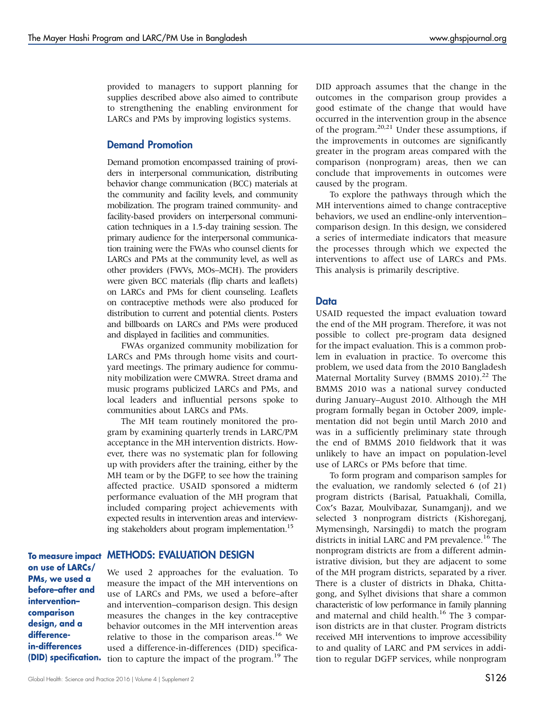provided to managers to support planning for supplies described above also aimed to contribute to strengthening the enabling environment for LARCs and PMs by improving logistics systems.

## Demand Promotion

Demand promotion encompassed training of providers in interpersonal communication, distributing behavior change communication (BCC) materials at the community and facility levels, and community mobilization. The program trained community- and facility-based providers on interpersonal communication techniques in a 1.5-day training session. The primary audience for the interpersonal communication training were the FWAs who counsel clients for LARCs and PMs at the community level, as well as other providers (FWVs, MOs–MCH). The providers were given BCC materials (flip charts and leaflets) on LARCs and PMs for client counseling. Leaflets on contraceptive methods were also produced for distribution to current and potential clients. Posters and billboards on LARCs and PMs were produced and displayed in facilities and communities.

FWAs organized community mobilization for LARCs and PMs through home visits and courtyard meetings. The primary audience for community mobilization were CMWRA. Street drama and music programs publicized LARCs and PMs, and local leaders and influential persons spoke to communities about LARCs and PMs.

The MH team routinely monitored the program by examining quarterly trends in LARC/PM acceptance in the MH intervention districts. However, there was no systematic plan for following up with providers after the training, either by the MH team or by the DGFP, to see how the training affected practice. USAID sponsored a midterm performance evaluation of the MH program that included comparing project achievements with expected results in intervention areas and interviewing stakeholders about program implementation.<sup>15</sup>

on use of LARCs/ PMs, we used a before–after and intervention– comparison design, and a differencein-differences

#### To measure impact METHODS: EVALUATION DESIGN

We used 2 approaches for the evaluation. To measure the impact of the MH interventions on use of LARCs and PMs, we used a before–after and intervention–comparison design. This design measures the changes in the key contraceptive behavior outcomes in the MH intervention areas relative to those in the comparison areas.<sup>16</sup> We used a difference-in-differences (DID) specifica-(DID) specification. tion to capture the impact of the program.<sup>19</sup> The

DID approach assumes that the change in the outcomes in the comparison group provides a good estimate of the change that would have occurred in the intervention group in the absence of the program. $20,21$  Under these assumptions, if the improvements in outcomes are significantly greater in the program areas compared with the comparison (nonprogram) areas, then we can conclude that improvements in outcomes were caused by the program.

To explore the pathways through which the MH interventions aimed to change contraceptive behaviors, we used an endline-only intervention– comparison design. In this design, we considered a series of intermediate indicators that measure the processes through which we expected the interventions to affect use of LARCs and PMs. This analysis is primarily descriptive.

#### **Data**

USAID requested the impact evaluation toward the end of the MH program. Therefore, it was not possible to collect pre-program data designed for the impact evaluation. This is a common problem in evaluation in practice. To overcome this problem, we used data from the 2010 Bangladesh Maternal Mortality Survey (BMMS 2010).<sup>22</sup> The BMMS 2010 was a national survey conducted during January–August 2010. Although the MH program formally began in October 2009, implementation did not begin until March 2010 and was in a sufficiently preliminary state through the end of BMMS 2010 fieldwork that it was unlikely to have an impact on population-level use of LARCs or PMs before that time.

To form program and comparison samples for the evaluation, we randomly selected 6 (of 21) program districts (Barisal, Patuakhali, Comilla, Cox's Bazar, Moulvibazar, Sunamganj), and we selected 3 nonprogram districts (Kishoreganj, Mymensingh, Narsingdi) to match the program districts in initial LARC and PM prevalence.<sup>16</sup> The nonprogram districts are from a different administrative division, but they are adjacent to some of the MH program districts, separated by a river. There is a cluster of districts in Dhaka, Chittagong, and Sylhet divisions that share a common characteristic of low performance in family planning and maternal and child health.<sup>16</sup> The 3 comparison districts are in that cluster. Program districts received MH interventions to improve accessibility to and quality of LARC and PM services in addition to regular DGFP services, while nonprogram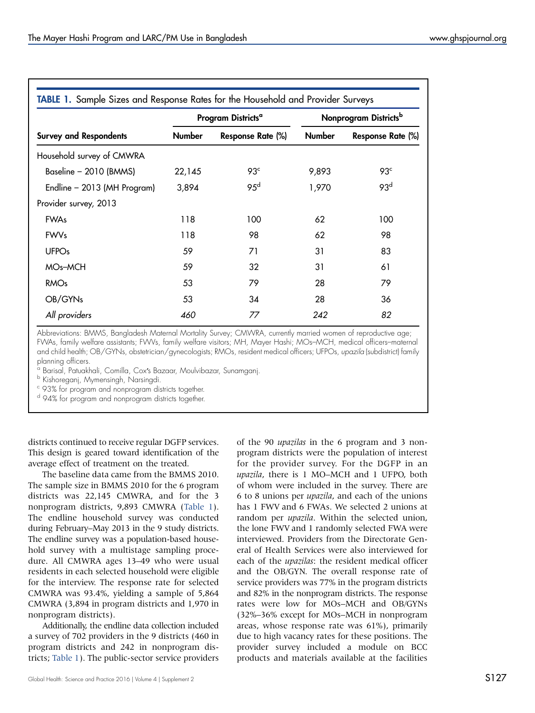|                               |        | Program Districts <sup>a</sup> | Nonprogram Districts <sup>b</sup> |                   |  |
|-------------------------------|--------|--------------------------------|-----------------------------------|-------------------|--|
| <b>Survey and Respondents</b> | Number | Response Rate (%)              | Number                            | Response Rate (%) |  |
| Household survey of CMWRA     |        |                                |                                   |                   |  |
| Baseline – 2010 (BMMS)        | 22,145 | 93 <sup>c</sup>                | 9,893                             | 93 <sup>c</sup>   |  |
| Endline - 2013 (MH Program)   | 3,894  | 95 <sup>d</sup>                | 1,970                             | 93 <sup>d</sup>   |  |
| Provider survey, 2013         |        |                                |                                   |                   |  |
| <b>FWAs</b>                   | 118    | 100                            | 62                                | 100               |  |
| <b>FWVs</b>                   | 118    | 98                             | 62                                | 98                |  |
| <b>UFPOs</b>                  | 59     | 71                             | 31                                | 83                |  |
| MOs-MCH                       | 59     | 32                             | 31                                | 61                |  |
| <b>RMOs</b>                   | 53     | 79                             | 28                                | 79                |  |
| OB/GYN <sub>s</sub>           | 53     | 34                             | 28                                | 36                |  |
| All providers                 | 460    | 77                             | 242                               | 82                |  |

Abbreviations: BMMS, Bangladesh Maternal Mortality Survey; CMWRA, currently married women of reproductive age; FWAs, family welfare assistants; FWVs, family welfare visitors; MH, Mayer Hashi; MOs–MCH, medical officers–maternal and child health; OB/GYNs, obstetrician/gynecologists; RMOs, resident medical officers; UFPOs, upazila (subdistrict) family planning officers.

<sup>a</sup> Barisal, Patuakhali, Comilla, Cox's Bazaar, Moulvibazar, Sunamganj. <sup>b</sup> Kishoreganj, Mymensingh, Narsingdi.

<sup>c</sup> 93% for program and nonprogram districts together.

<sup>d</sup> 94% for program and nonprogram districts together.

districts continued to receive regular DGFP services. This design is geared toward identification of the average effect of treatment on the treated.

The baseline data came from the BMMS 2010. The sample size in BMMS 2010 for the 6 program districts was 22,145 CMWRA, and for the 3 nonprogram districts, 9,893 CMWRA (Table 1). The endline household survey was conducted during February–May 2013 in the 9 study districts. The endline survey was a population-based household survey with a multistage sampling procedure. All CMWRA ages 13–49 who were usual residents in each selected household were eligible for the interview. The response rate for selected CMWRA was 93.4%, yielding a sample of 5,864 CMWRA (3,894 in program districts and 1,970 in nonprogram districts).

Additionally, the endline data collection included a survey of 702 providers in the 9 districts (460 in program districts and 242 in nonprogram districts; Table 1). The public-sector service providers

Global Health: Science and Practice 2016 | Volume 4 | Supplement 2  ${\sf SI27}$ 

of the 90 upazilas in the 6 program and 3 nonprogram districts were the population of interest for the provider survey. For the DGFP in an upazila, there is 1 MO–MCH and 1 UFPO, both of whom were included in the survey. There are 6 to 8 unions per upazila, and each of the unions has 1 FWV and 6 FWAs. We selected 2 unions at random per upazila. Within the selected union, the lone FWV and 1 randomly selected FWA were interviewed. Providers from the Directorate General of Health Services were also interviewed for each of the upazilas: the resident medical officer and the OB/GYN. The overall response rate of service providers was 77% in the program districts and 82% in the nonprogram districts. The response rates were low for MOs–MCH and OB/GYNs (32%–36% except for MOs–MCH in nonprogram areas, whose response rate was 61%), primarily due to high vacancy rates for these positions. The provider survey included a module on BCC products and materials available at the facilities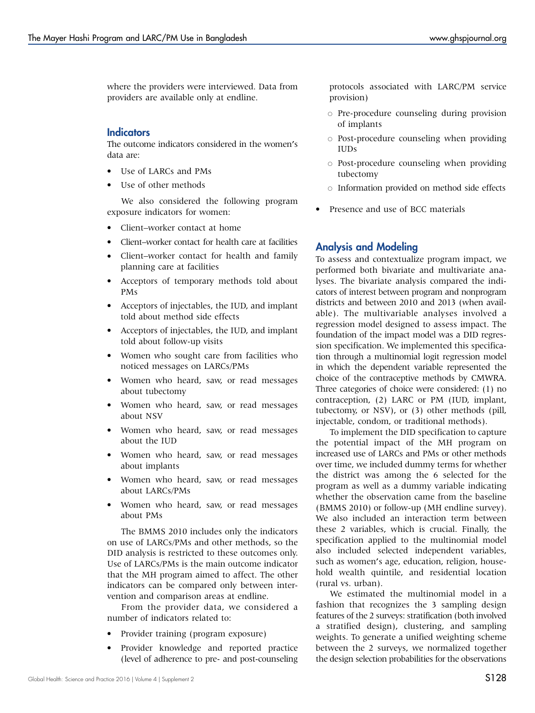where the providers were interviewed. Data from providers are available only at endline.

## **Indicators**

The outcome indicators considered in the women's data are:

- Use of LARCs and PMs
- Use of other methods

We also considered the following program exposure indicators for women:

- Client–worker contact at home
- Client–worker contact for health care at facilities
- Client–worker contact for health and family planning care at facilities
- Acceptors of temporary methods told about PMs
- Acceptors of injectables, the IUD, and implant told about method side effects
- Acceptors of injectables, the IUD, and implant told about follow-up visits
- Women who sought care from facilities who noticed messages on LARCs/PMs
- Women who heard, saw, or read messages about tubectomy
- Women who heard, saw, or read messages about NSV
- Women who heard, saw, or read messages about the IUD
- Women who heard, saw, or read messages about implants
- Women who heard, saw, or read messages about LARCs/PMs
- Women who heard, saw, or read messages about PMs

The BMMS 2010 includes only the indicators on use of LARCs/PMs and other methods, so the DID analysis is restricted to these outcomes only. Use of LARCs/PMs is the main outcome indicator that the MH program aimed to affect. The other indicators can be compared only between intervention and comparison areas at endline.

From the provider data, we considered a number of indicators related to:

- Provider training (program exposure)
- Provider knowledge and reported practice (level of adherence to pre- and post-counseling

protocols associated with LARC/PM service provision)

- $\circ$  Pre-procedure counseling during provision of implants
- $\circ$  Post-procedure counseling when providing IUDs
- $\circ$  Post-procedure counseling when providing tubectomy
- $\circ$  Information provided on method side effects
- Presence and use of BCC materials

## Analysis and Modeling

To assess and contextualize program impact, we performed both bivariate and multivariate analyses. The bivariate analysis compared the indicators of interest between program and nonprogram districts and between 2010 and 2013 (when available). The multivariable analyses involved a regression model designed to assess impact. The foundation of the impact model was a DID regression specification. We implemented this specification through a multinomial logit regression model in which the dependent variable represented the choice of the contraceptive methods by CMWRA. Three categories of choice were considered: (1) no contraception, (2) LARC or PM (IUD, implant, tubectomy, or NSV), or (3) other methods (pill, injectable, condom, or traditional methods).

To implement the DID specification to capture the potential impact of the MH program on increased use of LARCs and PMs or other methods over time, we included dummy terms for whether the district was among the 6 selected for the program as well as a dummy variable indicating whether the observation came from the baseline (BMMS 2010) or follow-up (MH endline survey). We also included an interaction term between these 2 variables, which is crucial. Finally, the specification applied to the multinomial model also included selected independent variables, such as women's age, education, religion, household wealth quintile, and residential location (rural vs. urban).

We estimated the multinomial model in a fashion that recognizes the 3 sampling design features of the 2 surveys: stratification (both involved a stratified design), clustering, and sampling weights. To generate a unified weighting scheme between the 2 surveys, we normalized together the design selection probabilities for the observations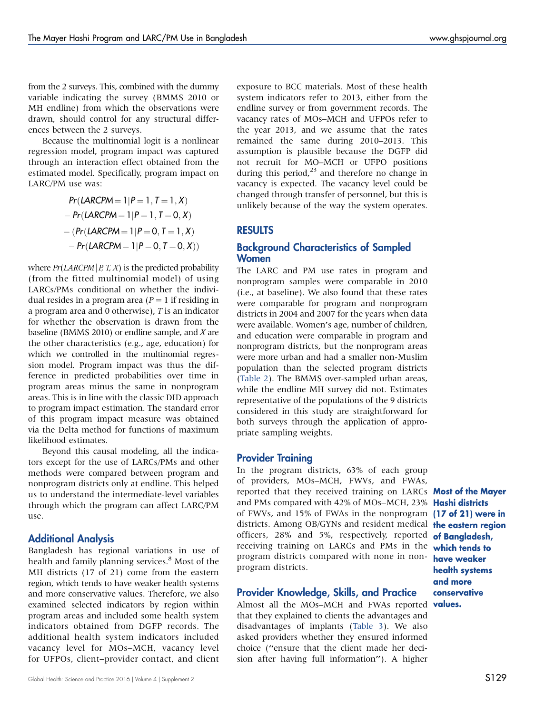from the 2 surveys. This, combined with the dummy variable indicating the survey (BMMS 2010 or MH endline) from which the observations were drawn, should control for any structural differences between the 2 surveys.

Because the multinomial logit is a nonlinear regression model, program impact was captured through an interaction effect obtained from the estimated model. Specifically, program impact on LARC/PM use was:

$$
Pr(LARCH = 1 | P = 1, T = 1, X)
$$
  
- Pr(LARCH = 1 | P = 1, T = 0, X)  
- (Pr(LARCH = 1 | P = 0, T = 1, X)  
- Pr(LARCH = 1 | P = 0, T = 0, X))

where  $Pr(LARCH | P, T, X)$  is the predicted probability (from the fitted multinomial model) of using LARCs/PMs conditional on whether the individual resides in a program area ( $P = 1$  if residing in a program area and 0 otherwise), T is an indicator for whether the observation is drawn from the baseline (BMMS 2010) or endline sample, and  $X$  are the other characteristics (e.g., age, education) for which we controlled in the multinomial regression model. Program impact was thus the difference in predicted probabilities over time in program areas minus the same in nonprogram areas. This is in line with the classic DID approach to program impact estimation. The standard error of this program impact measure was obtained via the Delta method for functions of maximum likelihood estimates.

Beyond this causal modeling, all the indicators except for the use of LARCs/PMs and other methods were compared between program and nonprogram districts only at endline. This helped us to understand the intermediate-level variables through which the program can affect LARC/PM use.

## Additional Analysis

Bangladesh has regional variations in use of health and family planning services.<sup>8</sup> Most of the MH districts (17 of 21) come from the eastern region, which tends to have weaker health systems and more conservative values. Therefore, we also examined selected indicators by region within program areas and included some health system indicators obtained from DGFP records. The additional health system indicators included vacancy level for MOs–MCH, vacancy level for UFPOs, client–provider contact, and client

exposure to BCC materials. Most of these health system indicators refer to 2013, either from the endline survey or from government records. The vacancy rates of MOs–MCH and UFPOs refer to the year 2013, and we assume that the rates remained the same during 2010–2013. This assumption is plausible because the DGFP did not recruit for MO–MCH or UFPO positions during this period, $^{23}$  and therefore no change in vacancy is expected. The vacancy level could be changed through transfer of personnel, but this is unlikely because of the way the system operates.

#### RESULTS

#### Background Characteristics of Sampled Women

The LARC and PM use rates in program and nonprogram samples were comparable in 2010 (i.e., at baseline). We also found that these rates were comparable for program and nonprogram districts in 2004 and 2007 for the years when data were available. Women's age, number of children, and education were comparable in program and nonprogram districts, but the nonprogram areas were more urban and had a smaller non-Muslim population than the selected program districts ([Table 2](#page-8-0)). The BMMS over-sampled urban areas, while the endline MH survey did not. Estimates representative of the populations of the 9 districts considered in this study are straightforward for both surveys through the application of appropriate sampling weights.

#### Provider Training

In the program districts, 63% of each group of providers, MOs–MCH, FWVs, and FWAs, reported that they received training on LARCs **Most of the Mayer** and PMs compared with 42% of MOs–MCH, 23% Hashi districts of FWVs, and 15% of FWAs in the nonprogram (17 of 21) were in districts. Among OB/GYNs and resident medical the eastern region officers, 28% and 5%, respectively, reported **ofBangladesh,** receiving training on LARCs and PMs in the **which tends to** program districts compared with none in non- have weaker program districts.

## Provider Knowledge, Skills, and Practice

Almost all the MOs–MCH and FWAs reported **values.** that they explained to clients the advantages and disadvantages of implants [\(Table 3](#page-9-0)). We also asked providers whether they ensured informed choice (''ensure that the client made her decision after having full information''). A higher

Global Health: Science and Practice 2016 | Volume 4 | Supplement 2  ${\sf S129}$ 

health systems and more conservative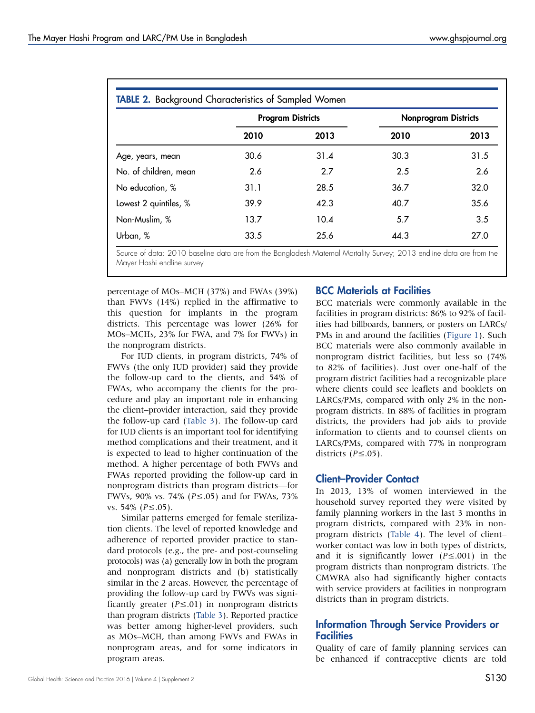<span id="page-8-0"></span>

|                       |      | <b>Program Districts</b> | <b>Nonprogram Districts</b> |      |  |
|-----------------------|------|--------------------------|-----------------------------|------|--|
|                       | 2010 | 2013                     | 2010                        | 2013 |  |
| Age, years, mean      | 30.6 | 31.4                     | 30.3                        | 31.5 |  |
| No. of children, mean | 2.6  | 2.7                      | 2.5                         | 2.6  |  |
| No education, %       | 31.1 | 28.5                     | 36.7                        | 32.0 |  |
| Lowest 2 quintiles, % | 39.9 | 42.3                     | 40.7                        | 35.6 |  |
| Non-Muslim, %         | 13.7 | 10.4                     | 5.7                         | 3.5  |  |
| Urban, %              | 33.5 | 25.6                     | 44.3                        | 27.0 |  |

Source of data: 2010 baseline data are from the Bangladesh Maternal Mortality Survey; 2013 endline data are from the Mayer Hashi endline survey.

percentage of MOs–MCH (37%) and FWAs (39%) than FWVs (14%) replied in the affirmative to this question for implants in the program districts. This percentage was lower (26% for MOs–MCHs, 23% for FWA, and 7% for FWVs) in the nonprogram districts.

For IUD clients, in program districts, 74% of FWVs (the only IUD provider) said they provide the follow-up card to the clients, and 54% of FWAs, who accompany the clients for the procedure and play an important role in enhancing the client–provider interaction, said they provide the follow-up card ([Table 3](#page-9-0)). The follow-up card for IUD clients is an important tool for identifying method complications and their treatment, and it is expected to lead to higher continuation of the method. A higher percentage of both FWVs and FWAs reported providing the follow-up card in nonprogram districts than program districts—for FWVs, 90% vs. 74% ( $P \le 0.05$ ) and for FWAs, 73% vs. 54% ( $P≤.05$ ).

Similar patterns emerged for female sterilization clients. The level of reported knowledge and adherence of reported provider practice to standard protocols (e.g., the pre- and post-counseling protocols) was (a) generally low in both the program and nonprogram districts and (b) statistically similar in the 2 areas. However, the percentage of providing the follow-up card by FWVs was significantly greater ( $P \le 0.01$ ) in nonprogram districts than program districts [\(Table 3\)](#page-9-0). Reported practice was better among higher-level providers, such as MOs–MCH, than among FWVs and FWAs in nonprogram areas, and for some indicators in program areas.

## BCC Materials at Facilities

BCC materials were commonly available in the facilities in program districts: 86% to 92% of facilities had billboards, banners, or posters on LARCs/ PMs in and around the facilities ([Figure 1](#page-10-0)). Such BCC materials were also commonly available in nonprogram district facilities, but less so (74% to 82% of facilities). Just over one-half of the program district facilities had a recognizable place where clients could see leaflets and booklets on LARCs/PMs, compared with only 2% in the nonprogram districts. In 88% of facilities in program districts, the providers had job aids to provide information to clients and to counsel clients on LARCs/PMs, compared with 77% in nonprogram districts  $(P \le .05)$ .

#### Client–Provider Contact

In 2013, 13% of women interviewed in the household survey reported they were visited by family planning workers in the last 3 months in program districts, compared with 23% in nonprogram districts [\(Table 4\)](#page-11-0). The level of client– worker contact was low in both types of districts, and it is significantly lower  $(P \le 0.001)$  in the program districts than nonprogram districts. The CMWRA also had significantly higher contacts with service providers at facilities in nonprogram districts than in program districts.

## Information Through Service Providers or **Facilities**

Quality of care of family planning services can be enhanced if contraceptive clients are told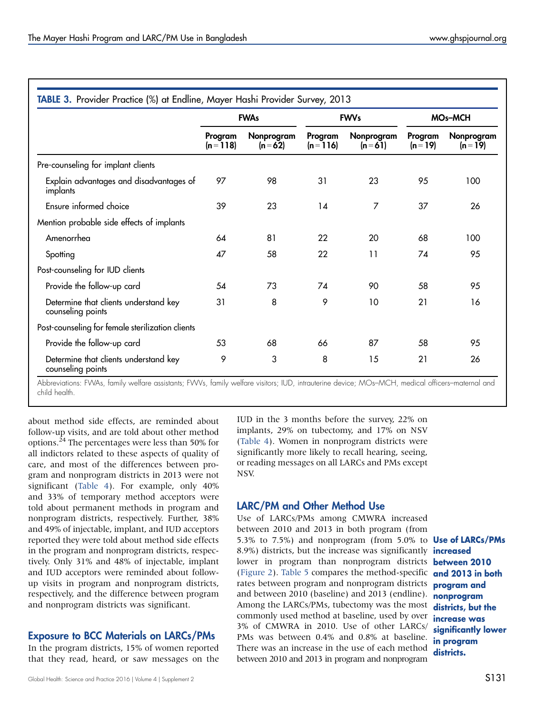<span id="page-9-0"></span>

| TABLE 3. Provider Practice (%) at Endline, Mayer Hashi Provider Survey, 2013 |                      |                        |                      |                        |                           |                          |  |  |
|------------------------------------------------------------------------------|----------------------|------------------------|----------------------|------------------------|---------------------------|--------------------------|--|--|
|                                                                              | <b>FWAs</b>          |                        | <b>FWVs</b>          |                        | <b>MO<sub>s</sub>-MCH</b> |                          |  |  |
|                                                                              | Program<br>$(n=118)$ | Nonprogram<br>$(n=62)$ | Program<br>$(n=116)$ | Nonprogram<br>$(n=61)$ | Program<br>$(n=19)$       | Nonprogram<br>$(n = 19)$ |  |  |
| Pre-counseling for implant clients                                           |                      |                        |                      |                        |                           |                          |  |  |
| Explain advantages and disadvantages of<br>implants                          | 97                   | 98                     | 31                   | 23                     | 95                        | 100                      |  |  |
| Ensure informed choice                                                       | 39                   | 23                     | 14                   | 7                      | 37                        | 26                       |  |  |
| Mention probable side effects of implants                                    |                      |                        |                      |                        |                           |                          |  |  |
| Amenorrhea                                                                   | 64                   | 81                     | 22                   | 20                     | 68                        | 100                      |  |  |
| Spotting                                                                     | 47                   | 58                     | 22                   | 11                     | 74                        | 95                       |  |  |
| Post-counseling for IUD clients                                              |                      |                        |                      |                        |                           |                          |  |  |
| Provide the follow-up card                                                   | 54                   | 73                     | 74                   | 90                     | 58                        | 95                       |  |  |
| Determine that clients understand key<br>counseling points                   | 31                   | 8                      | 9                    | 10                     | 21                        | 16                       |  |  |
| Post-counseling for female sterilization clients                             |                      |                        |                      |                        |                           |                          |  |  |
| Provide the follow-up card                                                   | 53                   | 68                     | 66                   | 87                     | 58                        | 95                       |  |  |
| Determine that clients understand key<br>counseling points                   | 9                    | 3                      | 8                    | 15                     | 21                        | 26                       |  |  |

Abbreviations: FWAs, family welfare assistants; FWVs, family welfare visitors; IUD, intrauterine device; MOs–MCH, medical officers–maternal and child health.

about method side effects, are reminded about follow-up visits, and are told about other method options. $^{24}$  The percentages were less than 50% for all indictors related to these aspects of quality of care, and most of the differences between program and nonprogram districts in 2013 were not significant ([Table 4](#page-11-0)). For example, only 40% and 33% of temporary method acceptors were told about permanent methods in program and nonprogram districts, respectively. Further, 38% and 49% of injectable, implant, and IUD acceptors reported they were told about method side effects in the program and nonprogram districts, respectively. Only 31% and 48% of injectable, implant and IUD acceptors were reminded about followup visits in program and nonprogram districts, respectively, and the difference between program and nonprogram districts was significant.

## Exposure to BCC Materials on LARCs/PMs

In the program districts, 15% of women reported that they read, heard, or saw messages on the

IUD in the 3 months before the survey, 22% on implants, 29% on tubectomy, and 17% on NSV ([Table 4\)](#page-11-0). Women in nonprogram districts were significantly more likely to recall hearing, seeing, or reading messages on all LARCs and PMs except NSV.

## LARC/PM and Other Method Use

Use of LARCs/PMs among CMWRA increased between 2010 and 2013 in both program (from 5.3% to 7.5%) and nonprogram (from 5.0% to **Use of LARCs/PMs** 8.9%) districts, but the increase was significantly **increased** lower in program than nonprogram districts **between 2010** ([Figure 2\)](#page-12-0). [Table 5](#page-13-0) compares the method-specific and 2013 in both rates between program and nonprogram districts and between 2010 (baseline) and 2013 (endline). Among the LARCs/PMs, tubectomy was the most commonly used method at baseline, used by over 3% of CMWRA in 2010. Use of other LARCs/ PMs was between 0.4% and 0.8% at baseline. There was an increase in the use of each method between 2010 and 2013 in program and nonprogram

program and nonprogram districts, but the increase was significantly lower in program districts.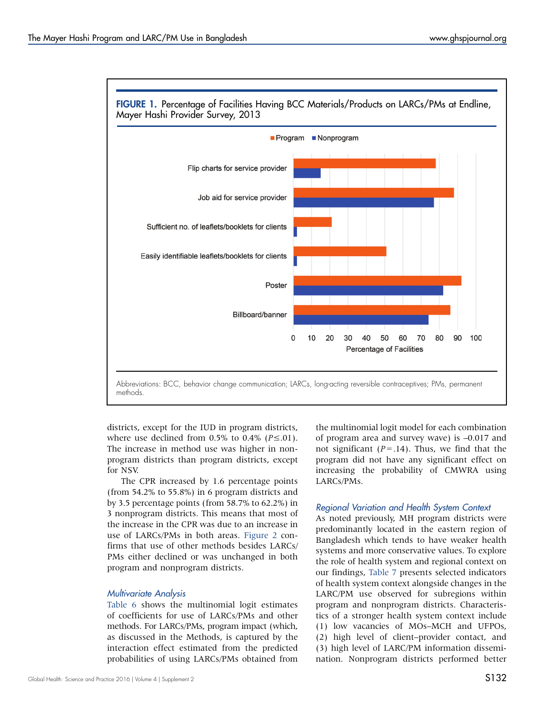<span id="page-10-0"></span>

districts, except for the IUD in program districts, where use declined from 0.5% to 0.4% ( $P \le 0.01$ ). The increase in method use was higher in nonprogram districts than program districts, except for NSV.

The CPR increased by 1.6 percentage points (from 54.2% to 55.8%) in 6 program districts and by 3.5 percentage points (from 58.7% to 62.2%) in 3 nonprogram districts. This means that most of the increase in the CPR was due to an increase in use of LARCs/PMs in both areas. [Figure 2](#page-12-0) confirms that use of other methods besides LARCs/ PMs either declined or was unchanged in both program and nonprogram districts.

#### Multivariate Analysis

[Table 6](#page-14-0) shows the multinomial logit estimates of coefficients for use of LARCs/PMs and other methods. For LARCs/PMs, program impact (which, as discussed in the Methods, is captured by the interaction effect estimated from the predicted probabilities of using LARCs/PMs obtained from the multinomial logit model for each combination of program area and survey wave) is –0.017 and not significant ( $P = .14$ ). Thus, we find that the program did not have any significant effect on increasing the probability of CMWRA using LARCs/PMs.

#### Regional Variation and Health System Context

As noted previously, MH program districts were predominantly located in the eastern region of Bangladesh which tends to have weaker health systems and more conservative values. To explore the role of health system and regional context on our findings, [Table 7](#page-15-0) presents selected indicators of health system context alongside changes in the LARC/PM use observed for subregions within program and nonprogram districts. Characteristics of a stronger health system context include (1) low vacancies of MOs–MCH and UFPOs, (2) high level of client–provider contact, and (3) high level of LARC/PM information dissemination. Nonprogram districts performed better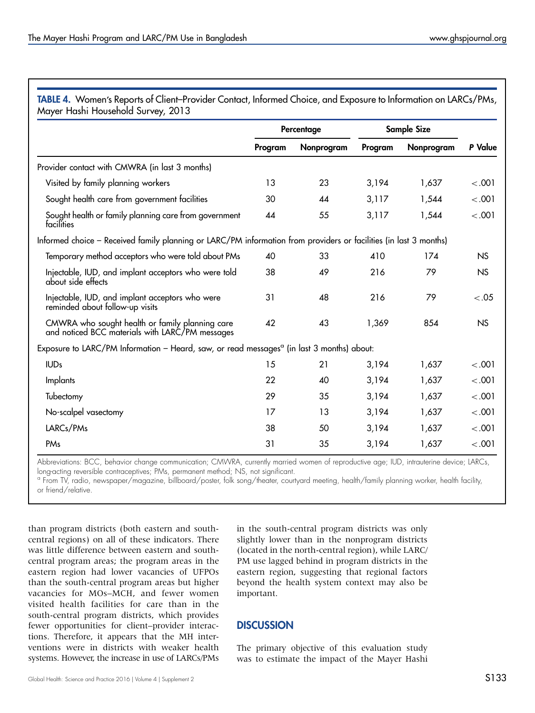| Mayer Hashi Household Survey, 2013                                                                                |         |            |         |             |           |
|-------------------------------------------------------------------------------------------------------------------|---------|------------|---------|-------------|-----------|
|                                                                                                                   |         | Percentage |         | Sample Size |           |
|                                                                                                                   | Program | Nonprogram | Program | Nonprogram  | P Value   |
| Provider contact with CMWRA (in last 3 months)                                                                    |         |            |         |             |           |
| Visited by family planning workers                                                                                | 13      | 23         | 3,194   | 1,637       | $-.001$   |
| Sought health care from government facilities                                                                     | 30      | 44         | 3,117   | 1,544       | < .001    |
| Sought health or family planning care from government<br>facilities                                               | 44      | 55         | 3,117   | 1,544       | < .001    |
| Informed choice – Received family planning or LARC/PM information from providers or facilities (in last 3 months) |         |            |         |             |           |
| Temporary method acceptors who were told about PMs                                                                | 40      | 33         | 410     | 174         | <b>NS</b> |
| Injectable, IUD, and implant acceptors who were told<br>about side effects                                        | 38      | 49         | 216     | 79          | <b>NS</b> |
| Injectable, IUD, and implant acceptors who were<br>reminded about follow-up visits                                | 31      | 48         | 216     | 79          | < 0.05    |
| CMWRA who sought health or family planning care<br>and noticed BCC materials with LARC/PM messages                | 42      | 43         | 1,369   | 854         | <b>NS</b> |
| Exposure to LARC/PM Information - Heard, saw, or read messages <sup>a</sup> (in last 3 months) about:             |         |            |         |             |           |
| <b>IUDs</b>                                                                                                       | 15      | 21         | 3,194   | 1,637       | < .001    |
| Implants                                                                                                          | 22      | 40         | 3,194   | 1,637       | $-.001$   |
| Tubectomy                                                                                                         | 29      | 35         | 3,194   | 1,637       | $-.001$   |
| No-scalpel vasectomy                                                                                              | 17      | 13         | 3,194   | 1,637       | < .001    |
| LARCs/PMs                                                                                                         | 38      | 50         | 3,194   | 1,637       | $-.001$   |
| <b>PMs</b>                                                                                                        | 31      | 35         | 3,194   | 1,637       | < .001    |

<span id="page-11-0"></span>TABLE 4. Women's Reports of Client–Provider Contact, Informed Choice, and Exposure to Information on LARCs/PMs,

Abbreviations: BCC, behavior change communication; CMWRA, currently married women of reproductive age; IUD, intrauterine device; LARCs, long-acting reversible contraceptives; PMs, permanent method; NS, not significant.

<sup>a</sup> From TV, radio, newspaper/magazine, billboard/poster, folk song/theater, courtyard meeting, health/family planning worker, health facility, or friend/relative.

than program districts (both eastern and southcentral regions) on all of these indicators. There was little difference between eastern and southcentral program areas; the program areas in the eastern region had lower vacancies of UFPOs than the south-central program areas but higher vacancies for MOs–MCH, and fewer women visited health facilities for care than in the south-central program districts, which provides fewer opportunities for client–provider interactions. Therefore, it appears that the MH interventions were in districts with weaker health systems. However, the increase in use of LARCs/PMs

in the south-central program districts was only slightly lower than in the nonprogram districts (located in the north-central region), while LARC/ PM use lagged behind in program districts in the eastern region, suggesting that regional factors beyond the health system context may also be important.

## **DISCUSSION**

The primary objective of this evaluation study was to estimate the impact of the Mayer Hashi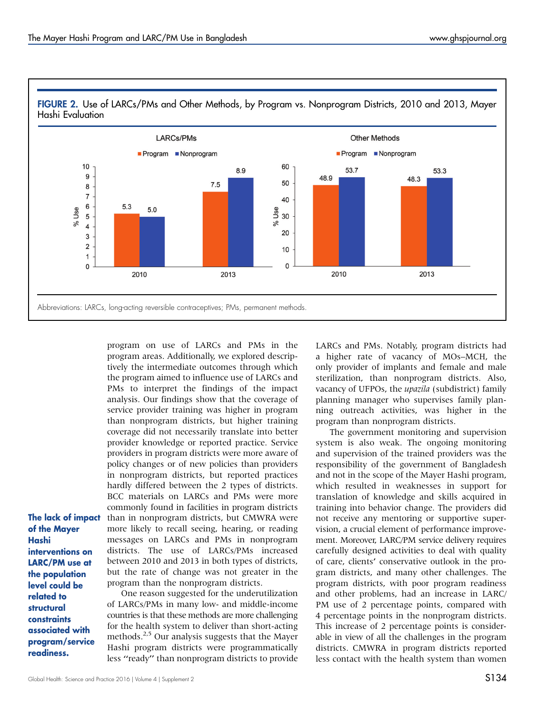

<span id="page-12-0"></span>FIGURE 2. Use of LARCs/PMs and Other Methods, by Program vs. Nonprogram Districts, 2010 and 2013, Mayer Hashi Evaluation

> program on use of LARCs and PMs in the program areas. Additionally, we explored descriptively the intermediate outcomes through which the program aimed to influence use of LARCs and PMs to interpret the findings of the impact analysis. Our findings show that the coverage of service provider training was higher in program than nonprogram districts, but higher training coverage did not necessarily translate into better provider knowledge or reported practice. Service providers in program districts were more aware of policy changes or of new policies than providers in nonprogram districts, but reported practices hardly differed between the 2 types of districts. BCC materials on LARCs and PMs were more commonly found in facilities in program districts than in nonprogram districts, but CMWRA were more likely to recall seeing, hearing, or reading messages on LARCs and PMs in nonprogram districts. The use of LARCs/PMs increased between 2010 and 2013 in both types of districts, but the rate of change was not greater in the program than the nonprogram districts.

The lack of impact of the Mayer Hashi interventions on LARC/PM use at the population level could be related to structural constraints associated with program/service readiness.

One reason suggested for the underutilization of LARCs/PMs in many low- and middle-income countries is that these methods are more challenging for the health system to deliver than short-acting methods.<sup>2,5</sup> Our analysis suggests that the Mayer Hashi program districts were programmatically less ''ready'' than nonprogram districts to provide

LARCs and PMs. Notably, program districts had a higher rate of vacancy of MOs–MCH, the only provider of implants and female and male sterilization, than nonprogram districts. Also, vacancy of UFPOs, the upazila (subdistrict) family planning manager who supervises family planning outreach activities, was higher in the program than nonprogram districts.

The government monitoring and supervision system is also weak. The ongoing monitoring and supervision of the trained providers was the responsibility of the government of Bangladesh and not in the scope of the Mayer Hashi program, which resulted in weaknesses in support for translation of knowledge and skills acquired in training into behavior change. The providers did not receive any mentoring or supportive supervision, a crucial element of performance improvement. Moreover, LARC/PM service delivery requires carefully designed activities to deal with quality of care, clients' conservative outlook in the program districts, and many other challenges. The program districts, with poor program readiness and other problems, had an increase in LARC/ PM use of 2 percentage points, compared with 4 percentage points in the nonprogram districts. This increase of 2 percentage points is considerable in view of all the challenges in the program districts. CMWRA in program districts reported less contact with the health system than women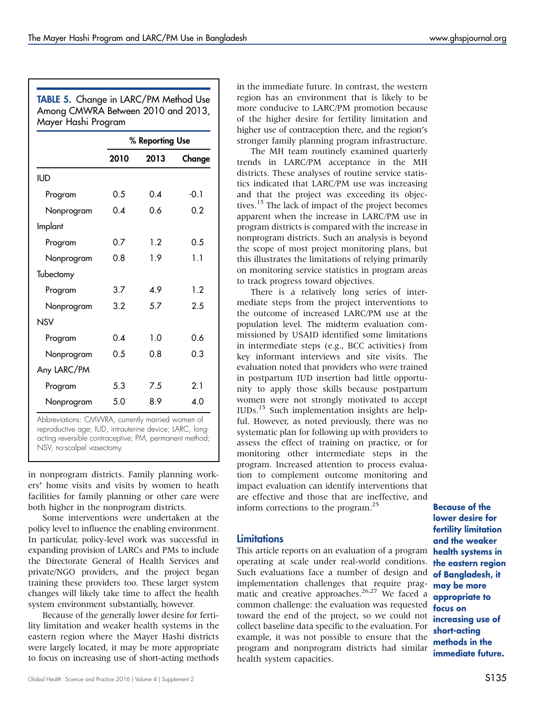<span id="page-13-0"></span>

|             | % Reporting Use |      |        |  |  |  |  |
|-------------|-----------------|------|--------|--|--|--|--|
|             | 2010            | 2013 | Change |  |  |  |  |
| iud         |                 |      |        |  |  |  |  |
| Program     | 0.5             | 0.4  | $-0.1$ |  |  |  |  |
| Nonprogram  | 04              | 0.6  | 0.2    |  |  |  |  |
| Implant     |                 |      |        |  |  |  |  |
| Program     | 0.7             | 1.2  | 0.5    |  |  |  |  |
| Nonprogram  | 0.8             | 1.9  | 1.1    |  |  |  |  |
| Tubectomy   |                 |      |        |  |  |  |  |
| Program     | 3.7             | 4.9  | 1.2    |  |  |  |  |
| Nonprogram  | 3.2             | 5.7  | 2.5    |  |  |  |  |
| <b>NSV</b>  |                 |      |        |  |  |  |  |
| Program     | 0.4             | 1.0  | 0.6    |  |  |  |  |
| Nonprogram  | 0.5             | 0.8  | 0.3    |  |  |  |  |
| Any LARC/PM |                 |      |        |  |  |  |  |
| Program     | 5.3             | 7.5  | 2.1    |  |  |  |  |
| Nonprogram  | 5.0             | 8.9  | 4.0    |  |  |  |  |

reproductive age; IUD, intrauterine device; LARC, longacting reversible contraceptive; PM, permanent method; NSV, no-scalpel vasectomy.

in nonprogram districts. Family planning workers' home visits and visits by women to heath facilities for family planning or other care were both higher in the nonprogram districts.

Some interventions were undertaken at the policy level to influence the enabling environment. In particular, policy-level work was successful in expanding provision of LARCs and PMs to include the Directorate General of Health Services and private/NGO providers, and the project began training these providers too. These larger system changes will likely take time to affect the health system environment substantially, however.

Because of the generally lower desire for fertility limitation and weaker health systems in the eastern region where the Mayer Hashi districts were largely located, it may be more appropriate to focus on increasing use of short-acting methods in the immediate future. In contrast, the western region has an environment that is likely to be more conducive to LARC/PM promotion because of the higher desire for fertility limitation and higher use of contraception there, and the region's stronger family planning program infrastructure.

The MH team routinely examined quarterly trends in LARC/PM acceptance in the MH districts. These analyses of routine service statistics indicated that LARC/PM use was increasing and that the project was exceeding its objectives.<sup>15</sup> The lack of impact of the project becomes apparent when the increase in LARC/PM use in program districts is compared with the increase in nonprogram districts. Such an analysis is beyond the scope of most project monitoring plans, but this illustrates the limitations of relying primarily on monitoring service statistics in program areas to track progress toward objectives.

There is a relatively long series of intermediate steps from the project interventions to the outcome of increased LARC/PM use at the population level. The midterm evaluation commissioned by USAID identified some limitations in intermediate steps (e.g., BCC activities) from key informant interviews and site visits. The evaluation noted that providers who were trained in postpartum IUD insertion had little opportunity to apply those skills because postpartum women were not strongly motivated to accept IUDs.<sup>15</sup> Such implementation insights are helpful. However, as noted previously, there was no systematic plan for following up with providers to assess the effect of training on practice, or for monitoring other intermediate steps in the program. Increased attention to process evaluation to complement outcome monitoring and impact evaluation can identify interventions that are effective and those that are ineffective, and inform corrections to the program.25

#### **Limitations**

This article reports on an evaluation of a program operating at scale under real-world conditions. Such evaluations face a number of design and implementation challenges that require pragmatic and creative approaches.<sup>26,27</sup> We faced a common challenge: the evaluation was requested toward the end of the project, so we could not collect baseline data specific to the evaluation. For example, it was not possible to ensure that the program and nonprogram districts had similar health system capacities.

Because of the lower desire for fertility limitation and the weaker health systems in the eastern region of Bangladesh, it may be more appropriate to focus on increasing use of short-acting methods in the immediate future.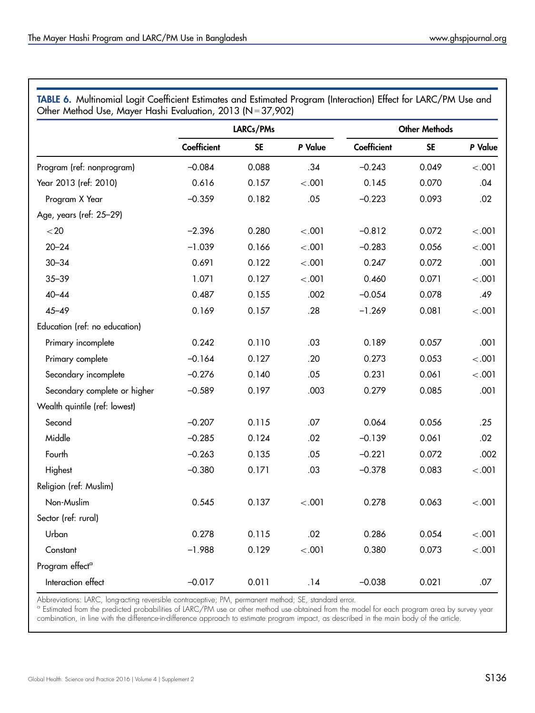|                               |             | LARCs/PMs |         |             | <b>Other Methods</b> |         |
|-------------------------------|-------------|-----------|---------|-------------|----------------------|---------|
|                               | Coefficient | <b>SE</b> | P Value | Coefficient | <b>SE</b>            | P Value |
| Program (ref: nonprogram)     | $-0.084$    | 0.088     | .34     | $-0.243$    | 0.049                | 100.5   |
| Year 2013 (ref: 2010)         | 0.616       | 0.157     | < .001  | 0.145       | 0.070                | .04     |
| Program X Year                | $-0.359$    | 0.182     | .05     | $-0.223$    | 0.093                | .02     |
| Age, years (ref: 25-29)       |             |           |         |             |                      |         |
| $<$ 20                        | $-2.396$    | 0.280     | < .001  | $-0.812$    | 0.072                | < .001  |
| $20 - 24$                     | $-1.039$    | 0.166     | < .001  | $-0.283$    | 0.056                | < .001  |
| $30 - 34$                     | 0.691       | 0.122     | < .001  | 0.247       | 0.072                | .001    |
| $35 - 39$                     | 1.071       | 0.127     | < .001  | 0.460       | 0.071                | < .001  |
| $40 - 44$                     | 0.487       | 0.155     | .002    | $-0.054$    | 0.078                | .49     |
| $45 - 49$                     | 0.169       | 0.157     | .28     | $-1.269$    | 0.081                | < .001  |
| Education (ref: no education) |             |           |         |             |                      |         |
| Primary incomplete            | 0.242       | 0.110     | .03     | 0.189       | 0.057                | .001    |
| Primary complete              | $-0.164$    | 0.127     | .20     | 0.273       | 0.053                | < .001  |
| Secondary incomplete          | $-0.276$    | 0.140     | .05     | 0.231       | 0.061                | < .001  |
| Secondary complete or higher  | $-0.589$    | 0.197     | .003    | 0.279       | 0.085                | .001    |
| Wealth quintile (ref: lowest) |             |           |         |             |                      |         |
| Second                        | $-0.207$    | 0.115     | .07     | 0.064       | 0.056                | .25     |
| Middle                        | $-0.285$    | 0.124     | .02     | $-0.139$    | 0.061                | .02     |
| Fourth                        | $-0.263$    | 0.135     | .05     | $-0.221$    | 0.072                | .002    |
| Highest                       | $-0.380$    | 0.171     | .03     | $-0.378$    | 0.083                | < .001  |
| Religion (ref: Muslim)        |             |           |         |             |                      |         |
| Non-Muslim                    | 0.545       | 0.137     | < .001  | 0.278       | 0.063                | < .001  |
| Sector (ref: rural)           |             |           |         |             |                      |         |
| Urban                         | 0.278       | 0.115     | .02     | 0.286       | 0.054                | 100.5   |
| Constant                      | $-1.988$    | 0.129     | < .001  | 0.380       | 0.073                | < .001  |
| Program effect <sup>a</sup>   |             |           |         |             |                      |         |
| Interaction effect            | $-0.017$    | 0.011     | .14     | $-0.038$    | 0.021                | .07     |
|                               |             |           |         |             |                      |         |

<span id="page-14-0"></span>TABLE 6. Multinomial Logit Coefficient Estimates and Estimated Program (Interaction) Effect for LARC/PM Use and

Abbreviations: LARC, long-acting reversible contraceptive; PM, permanent method; SE, standard error.

<sup>a</sup> Estimated from the predicted probabilities of LARC/PM use or other method use obtained from the model for each program area by survey year combination, in line with the difference-in-difference approach to estimate program impact, as described in the main body of the article.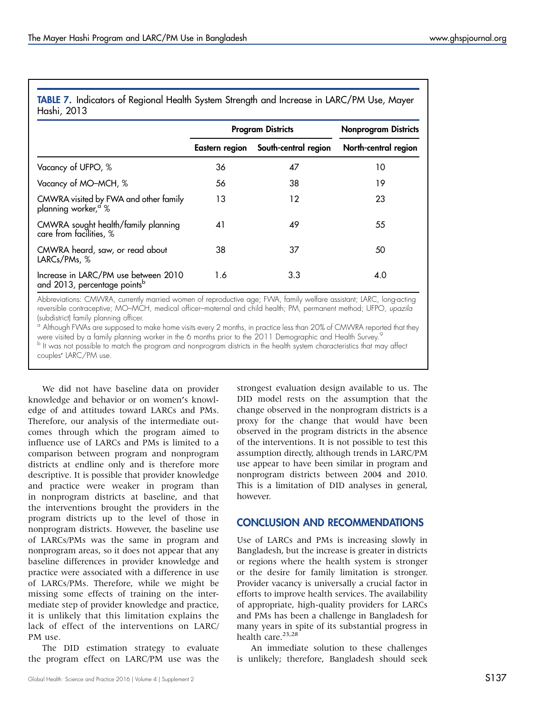<span id="page-15-0"></span>

|             | TABLE 7. Indicators of Regional Health System Strength and Increase in LARC/PM Use, Mayer |  |  |  |  |
|-------------|-------------------------------------------------------------------------------------------|--|--|--|--|
| Hashi, 2013 |                                                                                           |  |  |  |  |

|                                                                          | <b>Program Districts</b> | <b>Nonprogram Districts</b> |                      |
|--------------------------------------------------------------------------|--------------------------|-----------------------------|----------------------|
|                                                                          | Eastern region           | South-central region        | North-central region |
| Vacancy of UFPO, %                                                       | 36                       | 47                          | 10                   |
| Vacancy of MO-MCH, %                                                     | 56                       | 38                          | 19                   |
| CMWRA visited by FWA and other family<br>planning worker, <sup>a</sup> % | 13                       | 12                          | 23                   |
| CMWRA sought health/family planning<br>care from facilities, %           | 41                       | 49                          | 55                   |
| CMWRA heard, saw, or read about<br>LARCs/PMs, %                          | 38                       | 37                          | 50                   |
| Increase in LARC/PM use between 2010<br>and 2013, percentage pointsb     | 1.6                      | 3.3                         | 4.0                  |

Abbreviations: CMWRA, currently married women of reproductive age; FWA, family welfare assistant; LARC, long-acting reversible contraceptive; MO–MCH, medical officer–maternal and child health; PM, permanent method; UFPO, upazila (subdistrict) family planning officer.

<sup>a</sup> Although FWAs are supposed to make home visits every 2 months, in practice less than 20% of CMWRA reported that they were visited by a family planning worker in the 6 months prior to the 2011 Demographic and Health Survey.' b It was not possible to match the program and nonprogram districts in the health system characteristics that may affect couples' LARC/PM use.

We did not have baseline data on provider knowledge and behavior or on women's knowledge of and attitudes toward LARCs and PMs. Therefore, our analysis of the intermediate outcomes through which the program aimed to influence use of LARCs and PMs is limited to a comparison between program and nonprogram districts at endline only and is therefore more descriptive. It is possible that provider knowledge and practice were weaker in program than in nonprogram districts at baseline, and that the interventions brought the providers in the program districts up to the level of those in nonprogram districts. However, the baseline use of LARCs/PMs was the same in program and nonprogram areas, so it does not appear that any baseline differences in provider knowledge and practice were associated with a difference in use of LARCs/PMs. Therefore, while we might be missing some effects of training on the intermediate step of provider knowledge and practice, it is unlikely that this limitation explains the lack of effect of the interventions on LARC/ PM use.

The DID estimation strategy to evaluate the program effect on LARC/PM use was the

strongest evaluation design available to us. The DID model rests on the assumption that the change observed in the nonprogram districts is a proxy for the change that would have been observed in the program districts in the absence of the interventions. It is not possible to test this assumption directly, although trends in LARC/PM use appear to have been similar in program and nonprogram districts between 2004 and 2010. This is a limitation of DID analyses in general, however.

#### CONCLUSION AND RECOMMENDATIONS

Use of LARCs and PMs is increasing slowly in Bangladesh, but the increase is greater in districts or regions where the health system is stronger or the desire for family limitation is stronger. Provider vacancy is universally a crucial factor in efforts to improve health services. The availability of appropriate, high-quality providers for LARCs and PMs has been a challenge in Bangladesh for many years in spite of its substantial progress in health care. $23,28$ 

An immediate solution to these challenges is unlikely; therefore, Bangladesh should seek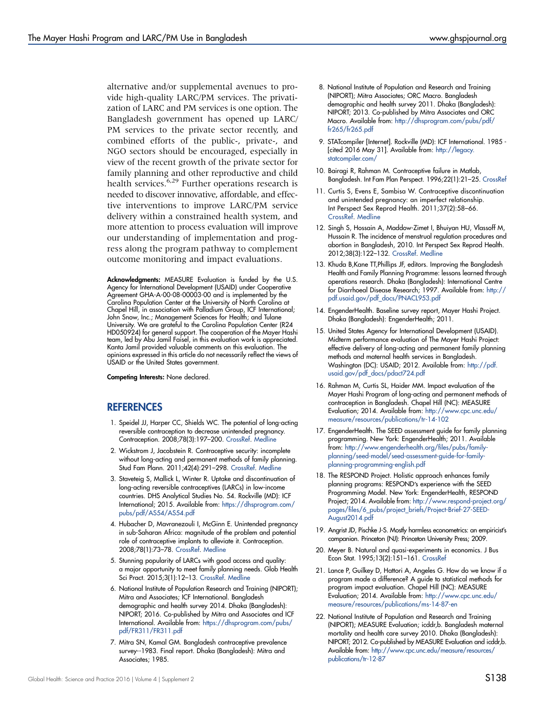alternative and/or supplemental avenues to provide high-quality LARC/PM services. The privatization of LARC and PM services is one option. The Bangladesh government has opened up LARC/ PM services to the private sector recently, and combined efforts of the public-, private-, and NGO sectors should be encouraged, especially in view of the recent growth of the private sector for family planning and other reproductive and child health services.<sup>6,29</sup> Further operations research is needed to discover innovative, affordable, and effective interventions to improve LARC/PM service delivery within a constrained health system, and more attention to process evaluation will improve our understanding of implementation and progress along the program pathway to complement outcome monitoring and impact evaluations.

Acknowledgments: MEASURE Evaluation is funded by the U.S. Agency for International Development (USAID) under Cooperative Agreement GHA-A-00-08-00003-00 and is implemented by the Carolina Population Center at the University of North Carolina at Chapel Hill, in association with Palladium Group, ICF International; John Snow, Inc.; Management Sciences for Health; and Tulane University. We are grateful to the Carolina Population Center (R24 HD050924) for general support. The cooperation of the Mayer Hashi team, led by Abu Jamil Faisel, in this evaluation work is appreciated. Kanta Jamil provided valuable comments on this evaluation. The opinions expressed in this article do not necessarily reflect the views of USAID or the United States government.

Competing Interests: None declared.

## **REFERENCES**

- 1. Speidel JJ, Harper CC, Shields WC. The potential of long-acting reversible contraception to decrease unintended pregnancy. Contraception. 2008;78(3):197–200. [CrossRef](http://dx.doi.org/10.1016/j.contraception.2008.06.001). [Medline](http://www.ncbi.nlm.nih.gov/pubmed/18692608)
- 2. Wickstrom J, Jacobstein R. Contraceptive security: incomplete without long-acting and permanent methods of family planning. Stud Fam Plann. 2011;42(4):291–298. [CrossRef](http://dx.doi.org/10.1111/j.1728-4465.2011.00292.x). [Medline](http://www.ncbi.nlm.nih.gov/pubmed/22292248)
- 3. Staveteig S, Mallick L, Winter R. Uptake and discontinuation of long-acting reversible contraceptives (LARCs) in low-income countries. DHS Analytical Studies No. 54. Rockville (MD): ICF International; 2015. Available from: [https://dhsprogram.com/](https://dhsprogram.com/pubs/pdf/AS54/AS54.pdf) [pubs/pdf/AS54/AS54.pdf](https://dhsprogram.com/pubs/pdf/AS54/AS54.pdf)
- 4. Hubacher D, Mavranezouli I, McGinn E. Unintended pregnancy in sub-Saharan Africa: magnitude of the problem and potential role of contraceptive implants to alleviate it. Contraception. 2008;78(1):73–78. [CrossRef.](http://dx.doi.org/10.1016/j.contraception.2008.03.002) [Medline](http://www.ncbi.nlm.nih.gov/pubmed/18555821)
- 5. Stunning popularity of LARCs with good access and quality: a major opportunity to meet family planning needs. Glob Health Sci Pract. 2015;3(1):12–13. [CrossRef](http://dx.doi.org/10.9745/GHSP-D-15-00044). [Medline](http://www.ncbi.nlm.nih.gov/pubmed/25745116)
- 6. National Institute of Population Research and Training (NIPORT); Mitra and Associates; ICF International. Bangladesh demographic and health survey 2014. Dhaka (Bangladesh): NIPORT; 2016. Co-published by Mitra and Associates and ICF International. Available from: [https://dhsprogram.com/pubs/](https://dhsprogram.com/pubs/pdf/FR311/FR311.pdf) [pdf/FR311/FR311.pdf](https://dhsprogram.com/pubs/pdf/FR311/FR311.pdf)
- 7. Mitra SN, Kamal GM. Bangladesh contraceptive prevalence survey--1983. Final report. Dhaka (Bangladesh): Mitra and Associates; 1985.
- 8. National Institute of Population and Research and Training (NIPORT); Mitra Associates; ORC Macro. Bangladesh demographic and health survey 2011. Dhaka (Bangladesh): NIPORT; 2013. Co-published by Mitra Associates and ORC Macro. Available from: [http://dhsprogram.com/pubs/pdf/](http://dhsprogram.com/pubs/pdf/fr265/fr265.pdf) [fr265/fr265.pdf](http://dhsprogram.com/pubs/pdf/fr265/fr265.pdf)
- 9. STATcompiler [Internet]. Rockville (MD): ICF International. 1985 [cited 2016 May 31]. Available from: [http://legacy.](http://legacy.statcompiler.com/) [statcompiler.com/](http://legacy.statcompiler.com/)
- 10. Bairagi R, Rahman M. Contraceptive failure in Matlab, Bangladesh. Int Fam Plan Perspect. 1996;22(1):21–25. [CrossRef](http://dx.doi.org/10.2307/2950798)
- 11. Curtis S, Evens E, Sambisa W. Contraceptive discontinuation and unintended pregnancy: an imperfect relationship. Int Perspect Sex Reprod Health. 2011;37(2):58–66. [CrossRef](http://dx.doi.org/10.1363/3705811). [Medline](http://www.ncbi.nlm.nih.gov/pubmed/21757420)
- 12. Singh S, Hossain A, Maddow-Zimet I, Bhuiyan HU, Vlassoff M, Hussain R. The incidence of menstrual regulation procedures and abortion in Bangladesh, 2010. Int Perspect Sex Reprod Health. 2012;38(3):122–132. [CrossRef](http://dx.doi.org/10.1363/3812212). [Medline](http://www.ncbi.nlm.nih.gov/pubmed/23018134)
- 13. Khuda B,Kane TT,Phillips JF, editors. Improving the Bangladesh Health and Family Planning Programme: lessons learned through operations research. Dhaka (Bangladesh): International Centre for Diarrhoeal Disease Research; 1997. Available from: [http://](http://pdf.usaid.gov/pdf_docs/PNACL953.pdf) [pdf.usaid.gov/pdf\\_docs/PNACL953.pdf](http://pdf.usaid.gov/pdf_docs/PNACL953.pdf)
- 14. EngenderHealth. Baseline survey report, Mayer Hashi Project. Dhaka (Bangladesh): EngenderHealth; 2011.
- 15. United States Agency for International Development (USAID). Midterm performance evaluation of The Mayer Hashi Project: effective delivery of long-acting and permanent family planning methods and maternal health services in Bangladesh. Washington (DC): USAID; 2012. Available from: [http://pdf.](http://pdf.usaid.gov/pdf_docs/pdact724.pdf) [usaid.gov/pdf\\_docs/pdact724.pdf](http://pdf.usaid.gov/pdf_docs/pdact724.pdf)
- 16. Rahman M, Curtis SL, Haider MM. Impact evaluation of the Mayer Hashi Program of long-acting and permanent methods of contraception in Bangladesh. Chapel Hill (NC): MEASURE Evaluation; 2014. Available from: [http://www.cpc.unc.edu/](http://www.cpc.unc.edu/measure/resources/publications/tr-14-102) [measure/resources/publications/tr-14-102](http://www.cpc.unc.edu/measure/resources/publications/tr-14-102)
- 17. EngenderHealth. The SEED assessment guide for family planning programming. New York: EngenderHealth; 2011. Available from: [http://www.engenderhealth.org/files/pubs/family](http://www.engenderhealth.org/files/pubs/family-planning/seed-model/seed-assessment-guide-for-family-planning-programming-english.pdf)[planning/seed-model/seed-assessment-guide-for-family](http://www.engenderhealth.org/files/pubs/family-planning/seed-model/seed-assessment-guide-for-family-planning-programming-english.pdf)[planning-programming-english.pdf](http://www.engenderhealth.org/files/pubs/family-planning/seed-model/seed-assessment-guide-for-family-planning-programming-english.pdf)
- 18. The RESPOND Project. Holistic approach enhances family planning programs: RESPOND's experience with the SEED Programming Model. New York: EngenderHealth, RESPOND Project; 2014. Available from: [http://www.respond-project.org/](http://www.respond-project.org/pages/files/6_pubs/project_briefs/Project-Brief-27-SEED-August2014.pdf) [pages/files/6\\_pubs/project\\_briefs/Project-Brief-27-SEED-](http://www.respond-project.org/pages/files/6_pubs/project_briefs/Project-Brief-27-SEED-August2014.pdf)[August2014.pdf](http://www.respond-project.org/pages/files/6_pubs/project_briefs/Project-Brief-27-SEED-August2014.pdf)
- 19. Angrist JD, Pischke J-S. Mostly harmless econometrics: an empiricist's companion. Princeton (NJ): Princeton University Press; 2009.
- 20. Meyer B. Natural and quasi-experiments in economics. J Bus Econ Stat. 1995;13(2):151–161. [CrossRef](http://dx.doi.org/10.2307/1392369)
- 21. Lance P, Guilkey D, Hattori A, Angeles G. How do we know if a program made a difference? A guide to statistical methods for program impact evaluation. Chapel Hill (NC): MEASURE Evaluation; 2014. Available from: [http://www.cpc.unc.edu/](http://www.cpc.unc.edu/measure/resources/publications/ms-14-87-en) [measure/resources/publications/ms-14-87-en](http://www.cpc.unc.edu/measure/resources/publications/ms-14-87-en)
- 22. National Institute of Population and Research and Training (NIPORT); MEASURE Evaluation; icddr,b. Bangladesh maternal mortality and health care survey 2010. Dhaka (Bangladesh): NIPORT; 2012. Co-published by MEASURE Evaluation and icddr,b. Available from: [http://www.cpc.unc.edu/measure/resources/](http://www.cpc.unc.edu/measure/resources/publications/tr-12-87) [publications/tr-12-87](http://www.cpc.unc.edu/measure/resources/publications/tr-12-87)